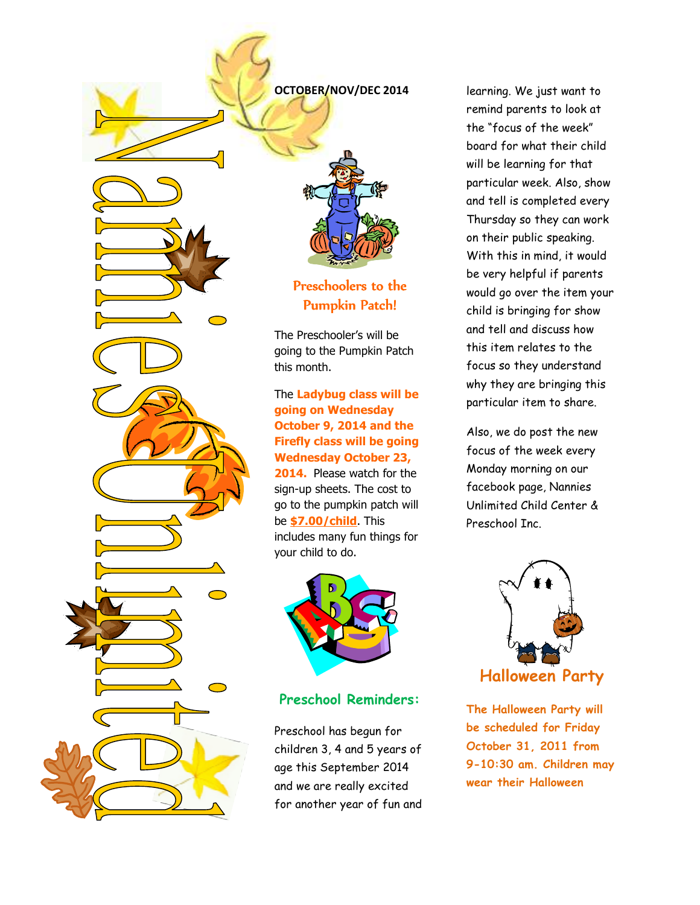

Preschoolers to the Pumpkin Patch!

The Preschooler's will be going to the Pumpkin Patch

#### The **Ladybug class will be going on Wednesday October 9, 2014 and the Firefly class will be going Wednesday October 23, 2014.** Please watch for the sign-up sheets. The cost to go to the pumpkin patch will be **\$7.00/child**. This

includes many fun things for your child to do.



### **Preschool Reminders:**

Preschool has begun for children 3, 4 and 5 years of age this September 2014 and we are really excited for another year of fun and learning. We just want to remind parents to look at the "focus of the week" board for what their child will be learning for that particular week. Also, show and tell is completed every Thursday so they can work on their public speaking. With this in mind, it would be very helpful if parents would go over the item your child is bringing for show and tell and discuss how this item relates to the focus so they understand why they are bringing this particular item to share.

Also, we do post the new focus of the week every Monday morning on our facebook page, Nannies Unlimited Child Center & Preschool Inc.



**The Halloween Party will be scheduled for Friday October 31, 2011 from 9-10:30 am. Children may wear their Halloween**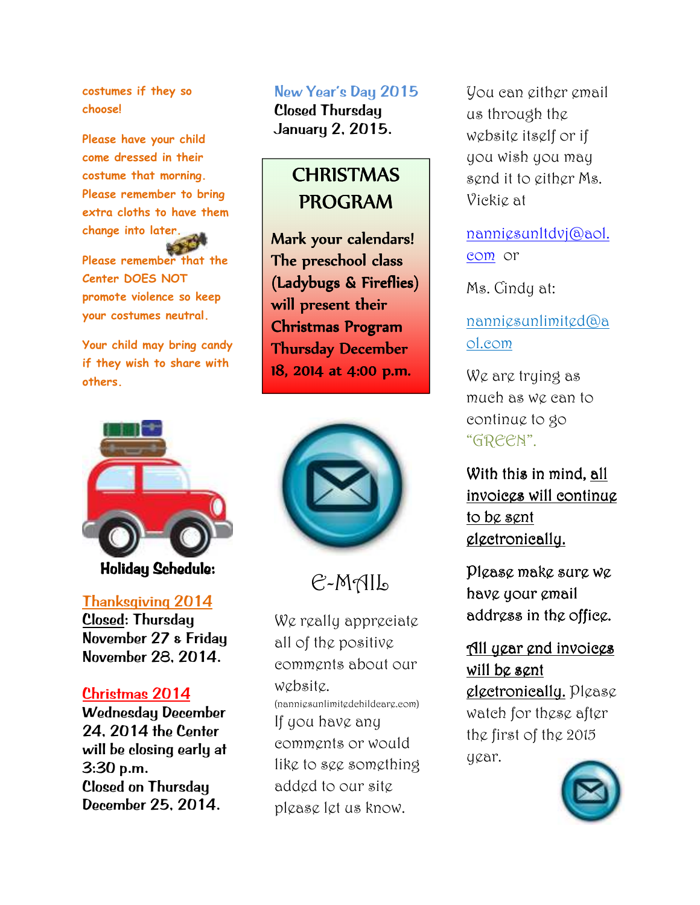**costumes if they so choose!** 

**Please have your child come dressed in their costume that morning. Please remember to bring extra cloths to have them change into later. Please remember that the Center DOES NOT promote violence so keep your costumes neutral.** 

**Your child may bring candy if they wish to share with others.** 



Holiday Schedule:

### Thanksgiving 2014

Closed: Thursday November 27 & Friday November 28, 2014.

### Christmas 2014

Wednesday December 24, 2014 the Center will be closing early at 3:30 p.m. Closed on Thursday December 25, 2014.

### New Year's Day 2015

Closed Thursday January 2, 2015.

# **CHRISTMAS** PROGRAM

Mark your calendars! The preschool class (Ladybugs & Fireflies) will present their Christmas Program Thursday December 18, 2014 at 4:00 p.m.



E-MAIL

We really appreciate all of the positive comments about our website. (nanniesunlimitedchildcare.com) If you have any comments or would like to see something added to our site please let us know.

You can either email us through the website itself or if you wish you may send it to either Ms. Vickie at

nanniesunltdvj@aol. com or

Ms. Cindy at:

nanniesunlimited@a ol.com

We are trying as much as we can to continue to go "GREEN".

With this in mind, all invoices will continue to be sent electronically.

Please make sure we have your email address in the office.

All year end invoices will be sent

 $glectronic$ ally.  $PI\varnothing$ s $\varnothing$ watch for these after the first of the 2015 year.

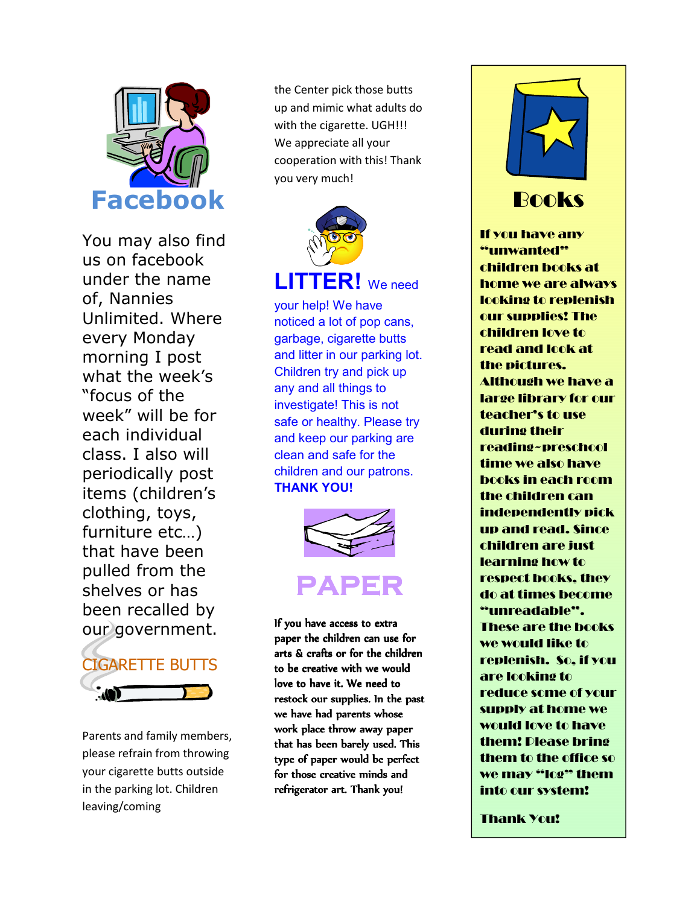

You may also find us on facebook under the name of, Nannies Unlimited. Where every Monday morning I post what the week's "focus of the week" will be for each individual class. I also will periodically post items (children's clothing, toys, furniture etc…) that have been pulled from the shelves or has been recalled by our government.



Parents and family members, please refrain from throwing your cigarette butts outside in the parking lot. Children leaving/coming

the Center pick those butts up and mimic what adults do with the cigarette. UGH!!! We appreciate all your cooperation with this! Thank you very much!



your help! We have noticed a lot of pop cans, garbage, cigarette butts and litter in our parking lot. Children try and pick up any and all things to investigate! This is not safe or healthy. Please try and keep our parking are clean and safe for the children and our patrons. **THANK YOU!**



If you have access to extra paper the children can use for arts & crafts or for the children to be creative with we would love to have it. We need to restock our supplies. In the past we have had parents whose work place throw away paper that has been barely used. This type of paper would be perfect for those creative minds and refrigerator art. Thank you!



# Books

If you have any "unwanted" children books at home we are always looking to replenish our supplies! The children love to read and look at the pictures. Although we have a large library for our teacher's to use during their reading~preschool time we also have books in each room the children can independently pick up and read. Since children are just learning how to respect books, they do at times become "unreadable". These are the books we would like to replenish. So, if you are looking to reduce some of your supply at home we would love to have them! Please bring them to the office so we may "log" them into our system!

Thank You!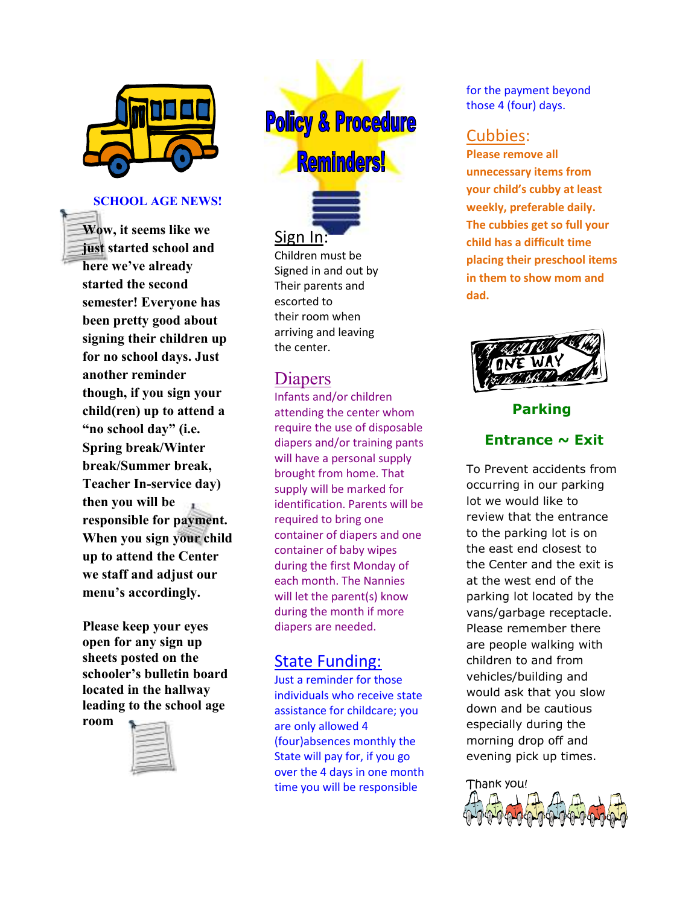

#### **SCHOOL AGE NEWS!**

**Wow, it seems like we just started school and here we've already started the second semester! Everyone has been pretty good about signing their children up for no school days. Just another reminder though, if you sign your child(ren) up to attend a "no school day" (i.e. Spring break/Winter break/Summer break, Teacher In-service day) then you will be responsible for payment. When you sign your child up to attend the Center we staff and adjust our menu's accordingly.** 

**Please keep your eyes open for any sign up sheets posted on the schooler's bulletin board located in the hallway leading to the school age** 

**room**



**Policy & Procedure Reminders!** 



Children must be Signed in and out by Their parents and escorted to their room when arriving and leaving the center.

# **Diapers**

Infants and/or children attending the center whom require the use of disposable diapers and/or training pants will have a personal supply brought from home. That supply will be marked for identification. Parents will be required to bring one container of diapers and one container of baby wipes during the first Monday of each month. The Nannies will let the parent(s) know during the month if more diapers are needed.

# State Funding:

Just a reminder for those individuals who receive state assistance for childcare; you are only allowed 4 (four)absences monthly the State will pay for, if you go over the 4 days in one month time you will be responsible

for the payment beyond those 4 (four) days.

# Cubbies:

**Please remove all unnecessary items from your child's cubby at least weekly, preferable daily. The cubbies get so full your child has a difficult time placing their preschool items in them to show mom and dad.** 



**Parking** 

## **Entrance ~ Exit**

To Prevent accidents from occurring in our parking lot we would like to review that the entrance to the parking lot is on the east end closest to the Center and the exit is at the west end of the parking lot located by the vans/garbage receptacle. Please remember there are people walking with children to and from vehicles/building and would ask that you slow down and be cautious especially during the morning drop off and evening pick up times.

Thank you!